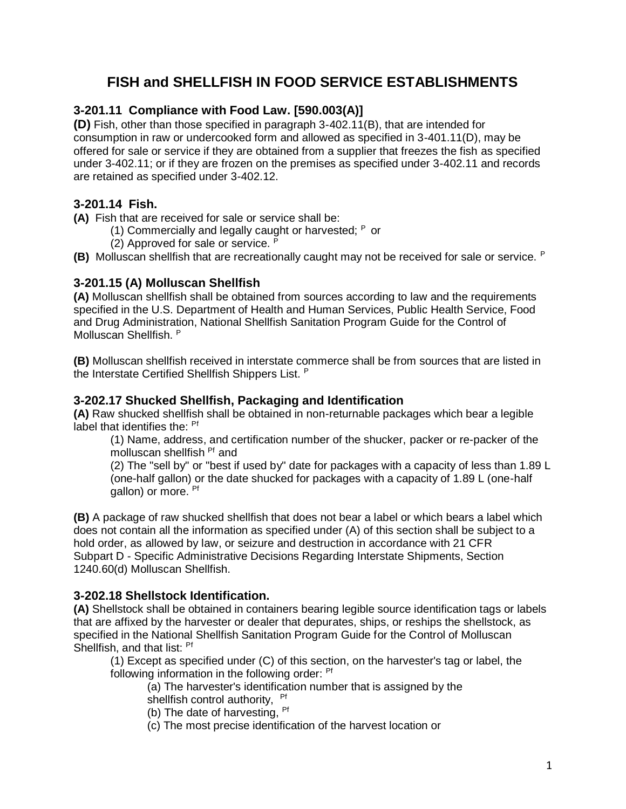# **FISH and SHELLFISH IN FOOD SERVICE ESTABLISHMENTS**

# **3-201.11 Compliance with Food Law. [590.003(A)]**

**(D)** Fish, other than those specified in paragraph 3-402.11(B), that are intended for consumption in raw or undercooked form and allowed as specified in 3-401.11(D), may be offered for sale or service if they are obtained from a supplier that freezes the fish as specified under 3-402.11; or if they are frozen on the premises as specified under 3-402.11 and records are retained as specified under 3-402.12.

# **3-201.14 Fish.**

**(A)** Fish that are received for sale or service shall be:

- (1) Commercially and legally caught or harvested;  $P$  or
- (2) Approved for sale or service. <sup>P</sup>

**(B)** Molluscan shellfish that are recreationally caught may not be received for sale or service. <sup>P</sup>

# **3-201.15 (A) Molluscan Shellfish**

**(A)** Molluscan shellfish shall be obtained from sources according to law and the requirements specified in the U.S. Department of Health and Human Services, Public Health Service, Food and Drug Administration, National Shellfish Sanitation Program Guide for the Control of Molluscan Shellfish. <sup>P</sup>

**(B)** Molluscan shellfish received in interstate commerce shall be from sources that are listed in the Interstate Certified Shellfish Shippers List. <sup>P</sup>

# **3-202.17 Shucked Shellfish, Packaging and Identification**

**(A)** Raw shucked shellfish shall be obtained in non-returnable packages which bear a legible label that identifies the: Pf

(1) Name, address, and certification number of the shucker, packer or re-packer of the molluscan shellfish Pf and

(2) The "sell by" or "best if used by" date for packages with a capacity of less than 1.89 L (one-half gallon) or the date shucked for packages with a capacity of 1.89 L (one-half gallon) or more. <sup>Pf</sup>

**(B)** A package of raw shucked shellfish that does not bear a label or which bears a label which does not contain all the information as specified under (A) of this section shall be subject to a hold order, as allowed by law, or seizure and destruction in accordance with 21 CFR Subpart D - Specific Administrative Decisions Regarding Interstate Shipments, Section 1240.60(d) Molluscan Shellfish.

# **3-202.18 Shellstock Identification.**

**(A)** Shellstock shall be obtained in containers bearing legible source identification tags or labels that are affixed by the harvester or dealer that depurates, ships, or reships the shellstock, as specified in the National Shellfish Sanitation Program Guide for the Control of Molluscan Shellfish, and that list: <sup>Pf</sup>

(1) Except as specified under (C) of this section, on the harvester's tag or label, the following information in the following order: <sup>Pf</sup>

(a) The harvester's identification number that is assigned by the shellfish control authority, <sup>Pf</sup>

- (b) The date of harvesting,  $Pf$
- (c) The most precise identification of the harvest location or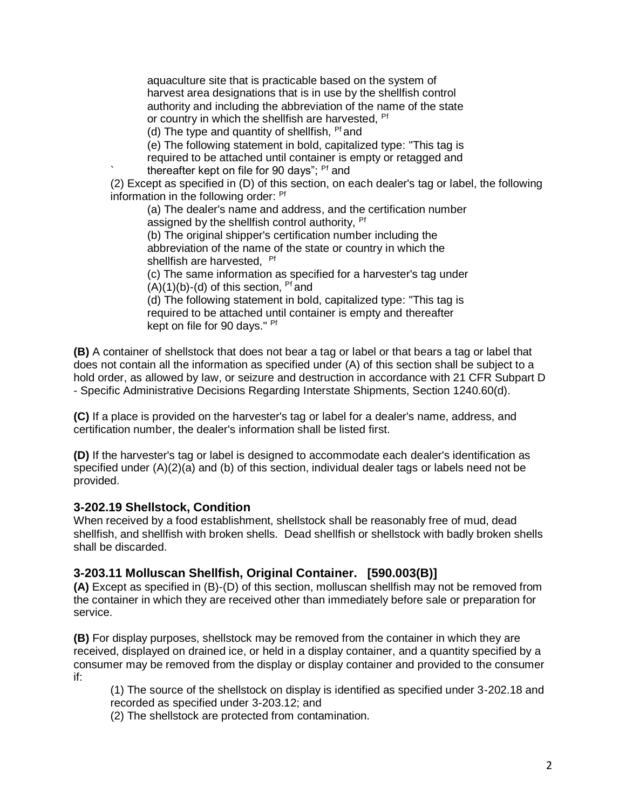aquaculture site that is practicable based on the system of harvest area designations that is in use by the shellfish control authority and including the abbreviation of the name of the state or country in which the shellfish are harvested, <sup>Pf</sup>

(d) The type and quantity of shellfish,  $Pf$  and

(e) The following statement in bold, capitalized type: "This tag is

required to be attached until container is empty or retagged and thereafter kept on file for 90 days"; <sup>Pf</sup> and

(2) Except as specified in (D) of this section, on each dealer's tag or label, the following information in the following order: Pf

(a) The dealer's name and address, and the certification number assigned by the shellfish control authority, <sup>Pf</sup>

(b) The original shipper's certification number including the abbreviation of the name of the state or country in which the shellfish are harvested, Pf

(c) The same information as specified for a harvester's tag under  $(A)(1)(b)-(d)$  of this section, <sup>Pf</sup> and

(d) The following statement in bold, capitalized type: "This tag is required to be attached until container is empty and thereafter kept on file for 90 days." <sup>Pf</sup>

**(B)** A container of shellstock that does not bear a tag or label or that bears a tag or label that does not contain all the information as specified under (A) of this section shall be subject to a hold order, as allowed by law, or seizure and destruction in accordance with 21 CFR Subpart D - Specific Administrative Decisions Regarding Interstate Shipments, Section 1240.60(d).

**(C)** If a place is provided on the harvester's tag or label for a dealer's name, address, and certification number, the dealer's information shall be listed first.

**(D)** If the harvester's tag or label is designed to accommodate each dealer's identification as specified under (A)(2)(a) and (b) of this section, individual dealer tags or labels need not be provided.

#### **3-202.19 Shellstock, Condition**

When received by a food establishment, shellstock shall be reasonably free of mud, dead shellfish, and shellfish with broken shells. Dead shellfish or shellstock with badly broken shells shall be discarded.

### **3-203.11 Molluscan Shellfish, Original Container. [590.003(B)]**

**(A)** Except as specified in (B)-(D) of this section, molluscan shellfish may not be removed from the container in which they are received other than immediately before sale or preparation for service.

**(B)** For display purposes, shellstock may be removed from the container in which they are received, displayed on drained ice, or held in a display container, and a quantity specified by a consumer may be removed from the display or display container and provided to the consumer if:

(1) The source of the shellstock on display is identified as specified under 3-202.18 and recorded as specified under 3-203.12; and

(2) The shellstock are protected from contamination.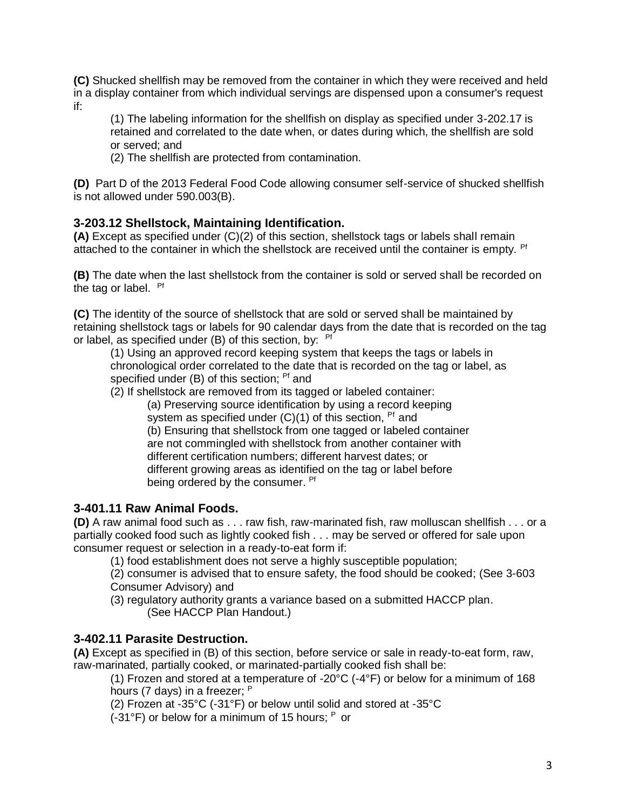**(C)** Shucked shellfish may be removed from the container in which they were received and held in a display container from which individual servings are dispensed upon a consumer's request if:

(1) The labeling information for the shellfish on display as specified under 3-202.17 is retained and correlated to the date when, or dates during which, the shellfish are sold or served; and

(2) The shellfish are protected from contamination.

**(D)** Part D of the 2013 Federal Food Code allowing consumer self-service of shucked shellfish is not allowed under 590.003(B).

### **3-203.12 Shellstock, Maintaining Identification.**

**(A)** Except as specified under (C)(2) of this section, shellstock tags or labels shall remain attached to the container in which the shellstock are received until the container is empty. <sup>Pf</sup>

**(B)** The date when the last shellstock from the container is sold or served shall be recorded on the tag or label. Pf

**(C)** The identity of the source of shellstock that are sold or served shall be maintained by retaining shellstock tags or labels for 90 calendar days from the date that is recorded on the tag or label, as specified under (B) of this section, by:  $Pf$ 

(1) Using an approved record keeping system that keeps the tags or labels in chronological order correlated to the date that is recorded on the tag or label, as specified under (B) of this section; <sup>Pf</sup> and

(2) If shellstock are removed from its tagged or labeled container:

(a) Preserving source identification by using a record keeping system as specified under  $(C)(1)$  of this section. <sup>Pf</sup> and

(b) Ensuring that shellstock from one tagged or labeled container are not commingled with shellstock from another container with different certification numbers; different harvest dates; or different growing areas as identified on the tag or label before being ordered by the consumer. <sup>Pf</sup>

# **3-401.11 Raw Animal Foods.**

**(D)** A raw animal food such as . . . raw fish, raw-marinated fish, raw molluscan shellfish . . . or a partially cooked food such as lightly cooked fish . . . may be served or offered for sale upon consumer request or selection in a ready-to-eat form if:

(1) food establishment does not serve a highly susceptible population;

(2) consumer is advised that to ensure safety, the food should be cooked; (See 3-603 Consumer Advisory) and

(3) regulatory authority grants a variance based on a submitted HACCP plan. (See HACCP Plan Handout.)

### **3-402.11 Parasite Destruction.**

**(A)** Except as specified in (B) of this section, before service or sale in ready-to-eat form, raw, raw-marinated, partially cooked, or marinated-partially cooked fish shall be:

(1) Frozen and stored at a temperature of -20 $\degree$ C (-4 $\degree$ F) or below for a minimum of 168 hours (7 days) in a freezer;  $P$ 

(2) Frozen at -35°C (-31°F) or below until solid and stored at -35°C

 $(-31^{\circ}F)$  or below for a minimum of 15 hours;  $P$  or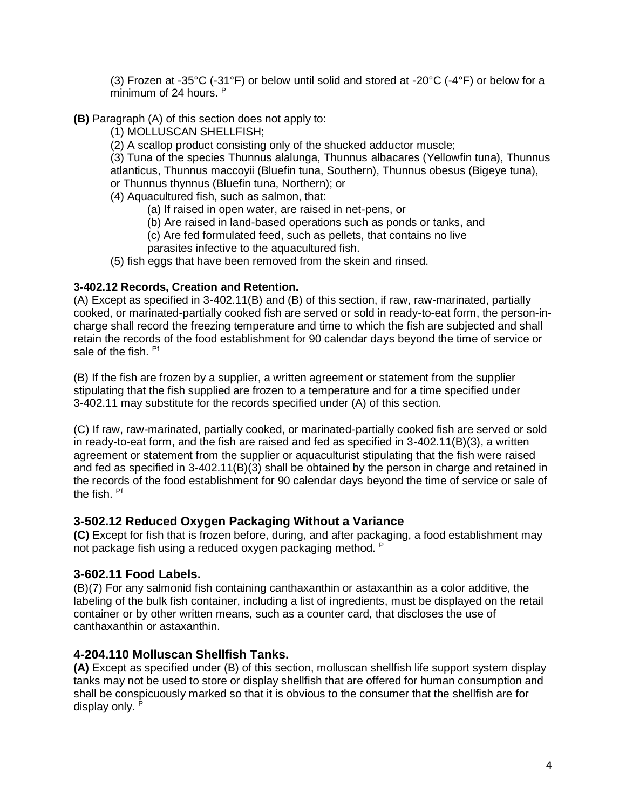(3) Frozen at -35°C (-31°F) or below until solid and stored at -20°C (-4°F) or below for a minimum of 24 hours. P

- **(B)** Paragraph (A) of this section does not apply to:
	- (1) MOLLUSCAN SHELLFISH;
	- (2) A scallop product consisting only of the shucked adductor muscle;

(3) Tuna of the species Thunnus alalunga, Thunnus albacares (Yellowfin tuna), Thunnus atlanticus, Thunnus maccoyii (Bluefin tuna, Southern), Thunnus obesus (Bigeye tuna), or Thunnus thynnus (Bluefin tuna, Northern); or

- (4) Aquacultured fish, such as salmon, that:
	- (a) If raised in open water, are raised in net-pens, or
	- (b) Are raised in land-based operations such as ponds or tanks, and
	- (c) Are fed formulated feed, such as pellets, that contains no live parasites infective to the aquacultured fish.
- (5) fish eggs that have been removed from the skein and rinsed.

#### **3-402.12 Records, Creation and Retention.**

(A) Except as specified in 3-402.11(B) and (B) of this section, if raw, raw-marinated, partially cooked, or marinated-partially cooked fish are served or sold in ready-to-eat form, the person-incharge shall record the freezing temperature and time to which the fish are subjected and shall retain the records of the food establishment for 90 calendar days beyond the time of service or sale of the fish. <sup>Pf</sup>

(B) If the fish are frozen by a supplier, a written agreement or statement from the supplier stipulating that the fish supplied are frozen to a temperature and for a time specified under 3-402.11 may substitute for the records specified under (A) of this section.

(C) If raw, raw-marinated, partially cooked, or marinated-partially cooked fish are served or sold in ready-to-eat form, and the fish are raised and fed as specified in 3-402.11(B)(3), a written agreement or statement from the supplier or aquaculturist stipulating that the fish were raised and fed as specified in 3-402.11(B)(3) shall be obtained by the person in charge and retained in the records of the food establishment for 90 calendar days beyond the time of service or sale of the fish. Pf

#### **3-502.12 Reduced Oxygen Packaging Without a Variance**

**(C)** Except for fish that is frozen before, during, and after packaging, a food establishment may not package fish using a reduced oxygen packaging method. <sup>P</sup>

#### **3-602.11 Food Labels.**

(B)(7) For any salmonid fish containing canthaxanthin or astaxanthin as a color additive, the labeling of the bulk fish container, including a list of ingredients, must be displayed on the retail container or by other written means, such as a counter card, that discloses the use of canthaxanthin or astaxanthin.

### **4-204.110 Molluscan Shellfish Tanks.**

**(A)** Except as specified under (B) of this section, molluscan shellfish life support system display tanks may not be used to store or display shellfish that are offered for human consumption and shall be conspicuously marked so that it is obvious to the consumer that the shellfish are for display only. P